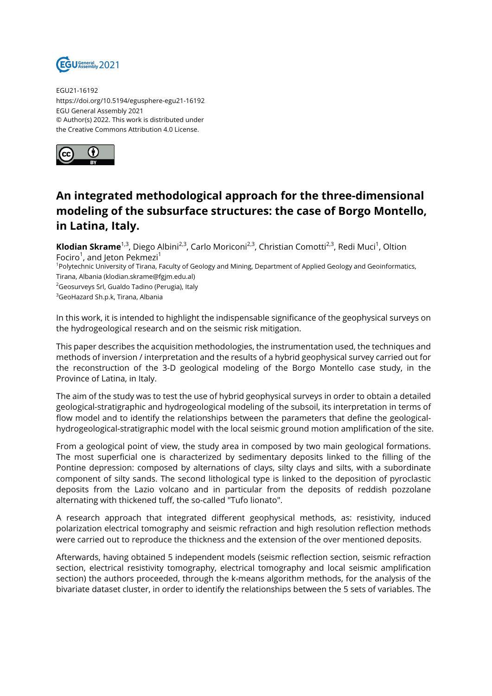

EGU21-16192 https://doi.org/10.5194/egusphere-egu21-16192 EGU General Assembly 2021 © Author(s) 2022. This work is distributed under the Creative Commons Attribution 4.0 License.



## **An integrated methodological approach for the three-dimensional modeling of the subsurface structures: the case of Borgo Montello, in Latina, Italy.**

**Klodian Skrame**<sup>1,3</sup>, Diego Albini<sup>2,3</sup>, Carlo Moriconi<sup>2,3</sup>, Christian Comotti<sup>2,3</sup>, Redi Muci<sup>1</sup>, Oltion Fociro<sup>1</sup>, and Jeton Pekmezi<sup>1</sup>

<sup>1</sup>Polytechnic University of Tirana, Faculty of Geology and Mining, Department of Applied Geology and Geoinformatics, Tirana, Albania (klodian.skrame@fgjm.edu.al)

<sup>2</sup>Geosurveys Srl, Gualdo Tadino (Perugia), Italy

<sup>3</sup>GeoHazard Sh.p.k, Tirana, Albania

In this work, it is intended to highlight the indispensable significance of the geophysical surveys on the hydrogeological research and on the seismic risk mitigation.

This paper describes the acquisition methodologies, the instrumentation used, the techniques and methods of inversion / interpretation and the results of a hybrid geophysical survey carried out for the reconstruction of the 3-D geological modeling of the Borgo Montello case study, in the Province of Latina, in Italy.

The aim of the study was to test the use of hybrid geophysical surveys in order to obtain a detailed geological-stratigraphic and hydrogeological modeling of the subsoil, its interpretation in terms of flow model and to identify the relationships between the parameters that define the geologicalhydrogeological-stratigraphic model with the local seismic ground motion amplification of the site.

From a geological point of view, the study area in composed by two main geological formations. The most superficial one is characterized by sedimentary deposits linked to the filling of the Pontine depression: composed by alternations of clays, silty clays and silts, with a subordinate component of silty sands. The second lithological type is linked to the deposition of pyroclastic deposits from the Lazio volcano and in particular from the deposits of reddish pozzolane alternating with thickened tuff, the so-called "Tufo lionato".

A research approach that integrated different geophysical methods, as: resistivity, induced polarization electrical tomography and seismic refraction and high resolution reflection methods were carried out to reproduce the thickness and the extension of the over mentioned deposits.

Afterwards, having obtained 5 independent models (seismic reflection section, seismic refraction section, electrical resistivity tomography, electrical tomography and local seismic amplification section) the authors proceeded, through the k-means algorithm methods, for the analysis of the bivariate dataset cluster, in order to identify the relationships between the 5 sets of variables. The